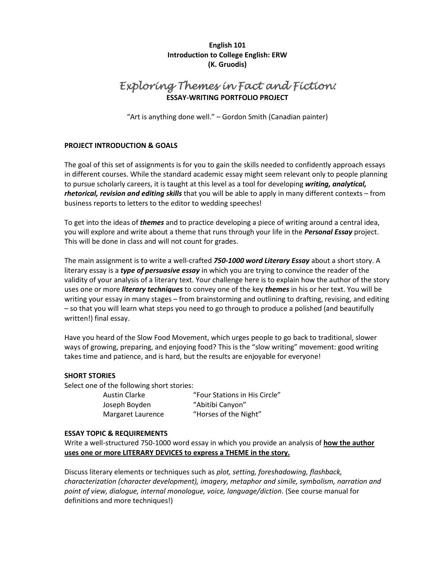**English 101 Introduction to College English: ERW (K. Gruodis)**

### *Exploring Themes in Fact and Fiction:*  **ESSAY-WRITING PORTFOLIO PROJECT**

"Art is anything done well." – Gordon Smith (Canadian painter)

#### **PROJECT INTRODUCTION & GOALS**

The goal of this set of assignments is for you to gain the skills needed to confidently approach essays in different courses. While the standard academic essay might seem relevant only to people planning to pursue scholarly careers, it is taught at this level as a tool for developing *writing, analytical, rhetorical, revision and editing skills* that you will be able to apply in many different contexts – from business reports to letters to the editor to wedding speeches!

To get into the ideas of *themes* and to practice developing a piece of writing around a central idea, you will explore and write about a theme that runs through your life in the *Personal Essay* project. This will be done in class and will not count for grades.

The main assignment is to write a well-crafted *750-1000 word Literary Essay* about a short story. A literary essay is a *type of persuasive essay* in which you are trying to convince the reader of the validity of your analysis of a literary text. Your challenge here is to explain how the author of the story uses one or more *literary techniques* to convey one of the key *themes* in his or her text. You will be writing your essay in many stages – from brainstorming and outlining to drafting, revising, and editing – so that you will learn what steps you need to go through to produce a polished (and beautifully written!) final essay.

Have you heard of the Slow Food Movement, which urges people to go back to traditional, slower ways of growing, preparing, and enjoying food? This is the "slow writing" movement: good writing takes time and patience, and is hard, but the results are enjoyable for everyone!

#### **SHORT STORIES**

Select one of the following short stories:

Joseph Boyden "Abitibi Canyon"

Austin Clarke "Four Stations in His Circle" Margaret Laurence "Horses of the Night"

#### **ESSAY TOPIC & REQUIREMENTS**

Write a well-structured 750-1000 word essay in which you provide an analysis of **how the author uses one or more LITERARY DEVICES to express a THEME in the story.**

Discuss literary elements or techniques such as *plot, setting, foreshadowing, flashback, characterization (character development), imagery, metaphor and simile, symbolism, narration and point of view, dialogue, internal monologue, voice, language/diction*. (See course manual for definitions and more techniques!)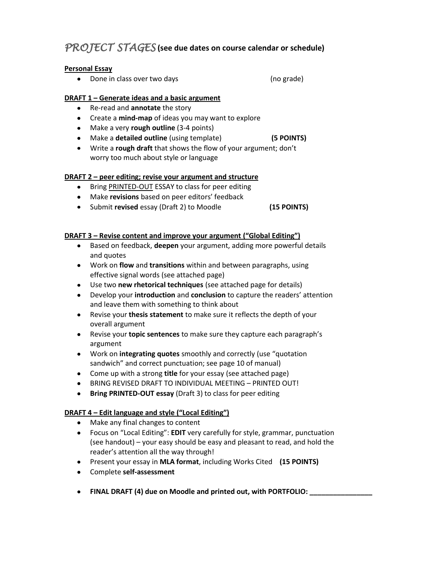# *PROJECT STAGES* **(see due dates on course calendar or schedule)**

### **Personal Essay**

• Done in class over two days example and the set of the grade)

### **DRAFT 1 – Generate ideas and a basic argument**

- Re-read and **annotate** the story
- Create a **mind-map** of ideas you may want to explore
- Make a very **rough outline** (3-4 points)
- Make a **detailed outline** (using template) **(5 POINTS)**
- Write a **rough draft** that shows the flow of your argument; don't worry too much about style or language

### **DRAFT 2 – peer editing; revise your argument and structure**

- Bring PRINTED-OUT ESSAY to class for peer editing
- Make **revisions** based on peer editors' feedback
- Submit **revised** essay (Draft 2) to Moodle **(15 POINTS)**

### **DRAFT 3 – Revise content and improve your argument ("Global Editing")**

- Based on feedback, **deepen** your argument, adding more powerful details and quotes
- Work on **flow** and **transitions** within and between paragraphs, using effective signal words (see attached page)
- Use two **new rhetorical techniques** (see attached page for details)
- Develop your **introduction** and **conclusion** to capture the readers' attention and leave them with something to think about
- Revise your **thesis statement** to make sure it reflects the depth of your overall argument
- Revise your **topic sentences** to make sure they capture each paragraph's argument
- Work on **integrating quotes** smoothly and correctly (use "quotation sandwich" and correct punctuation; see page 10 of manual)
- Come up with a strong **title** for your essay (see attached page)
- BRING REVISED DRAFT TO INDIVIDUAL MEETING PRINTED OUT!
- **Bring PRINTED-OUT essay** (Draft 3) to class for peer editing

### **DRAFT 4 – Edit language and style ("Local Editing")**

- Make any final changes to content
- Focus on "Local Editing": **EDIT** very carefully for style, grammar, punctuation (see handout) – your easy should be easy and pleasant to read, and hold the reader's attention all the way through!
- Present your essay in **MLA format**, including Works Cited **(15 POINTS)**
- Complete **self-assessment**
- **FINAL DRAFT (4) due on Moodle and printed out, with PORTFOLIO: \_\_\_\_\_\_\_\_\_\_\_\_\_\_\_\_**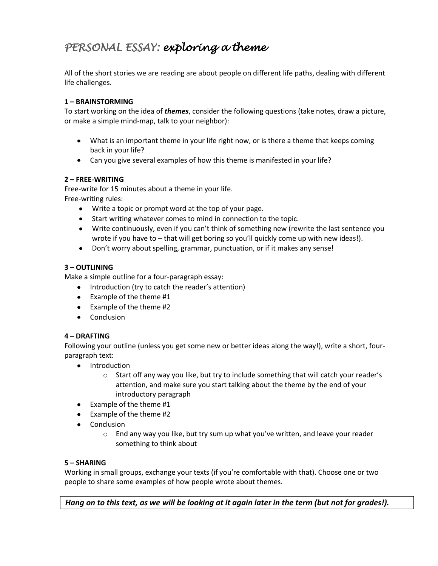# *PERSONAL ESSAY: exploring a theme*

All of the short stories we are reading are about people on different life paths, dealing with different life challenges.

#### **1 – BRAINSTORMING**

To start working on the idea of *themes*, consider the following questions (take notes, draw a picture, or make a simple mind-map, talk to your neighbor):

- What is an important theme in your life right now, or is there a theme that keeps coming back in your life?
- Can you give several examples of how this theme is manifested in your life?

#### **2 – FREE-WRITING**

Free-write for 15 minutes about a theme in your life.

Free-writing rules:

- Write a topic or prompt word at the top of your page.
- $\bullet$ Start writing whatever comes to mind in connection to the topic.
- Write continuously, even if you can't think of something new (rewrite the last sentence you wrote if you have to – that will get boring so you'll quickly come up with new ideas!).
- Don't worry about spelling, grammar, punctuation, or if it makes any sense!

#### **3 – OUTLINING**

Make a simple outline for a four-paragraph essay:

- Introduction (try to catch the reader's attention)
- $\bullet$  Example of the theme #1
- Example of the theme #2
- Conclusion

#### **4 – DRAFTING**

Following your outline (unless you get some new or better ideas along the way!), write a short, fourparagraph text:

- Introduction
	- $\circ$  Start off any way you like, but try to include something that will catch your reader's attention, and make sure you start talking about the theme by the end of your introductory paragraph
- Example of the theme #1
- Example of the theme #2
- Conclusion
	- $\circ$  End any way you like, but try sum up what you've written, and leave your reader something to think about

#### **5 – SHARING**

Working in small groups, exchange your texts (if you're comfortable with that). Choose one or two people to share some examples of how people wrote about themes.

*Hang on to this text, as we will be looking at it again later in the term (but not for grades!).*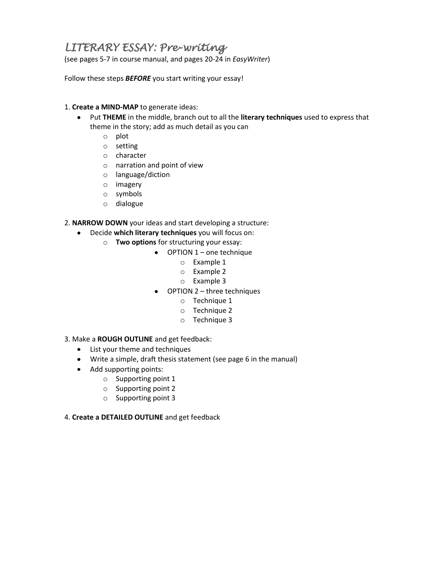# *LITERARY ESSAY: Pre-writing*

(see pages 5-7 in course manual, and pages 20-24 in *EasyWriter*)

Follow these steps *BEFORE* you start writing your essay!

#### 1. **Create a MIND-MAP** to generate ideas:

- Put **THEME** in the middle, branch out to all the **literary techniques** used to express that theme in the story; add as much detail as you can
	- o plot
	- o setting
	- o character
	- o narration and point of view
	- o language/diction
	- o imagery
	- o symbols
	- o dialogue

2. **NARROW DOWN** your ideas and start developing a structure:

- Decide **which literary techniques** you will focus on:
	- o **Two options** for structuring your essay:
		- OPTION 1 one technique
			- o Example 1
			- o Example 2
			- o Example 3
		- OPTION 2 three techniques  $\bullet$ 
			- o Technique 1
			- o Technique 2
			- o Technique 3
- 3. Make a **ROUGH OUTLINE** and get feedback:
	- List your theme and techniques
	- Write a simple, draft thesis statement (see page 6 in the manual)
	- Add supporting points:
		- o Supporting point 1
		- o Supporting point 2
		- o Supporting point 3
- 4. **Create a DETAILED OUTLINE** and get feedback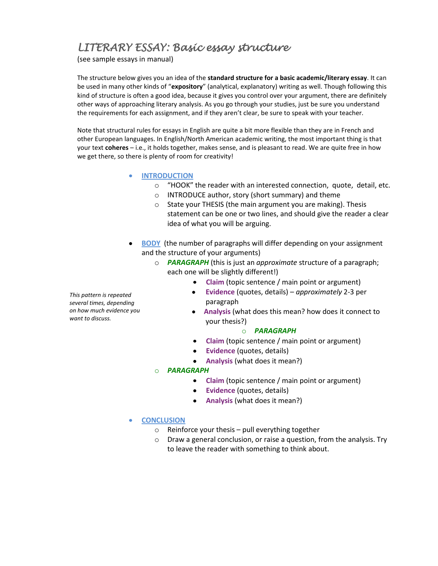# *LITERARY ESSAY: Basic essay structure*

(see sample essays in manual)

The structure below gives you an idea of the **standard structure for a basic academic/literary essay**. It can be used in many other kinds of "**expository**" (analytical, explanatory) writing as well. Though following this kind of structure is often a good idea, because it gives you control over your argument, there are definitely other ways of approaching literary analysis. As you go through your studies, just be sure you understand the requirements for each assignment, and if they aren't clear, be sure to speak with your teacher.

Note that structural rules for essays in English are quite a bit more flexible than they are in French and other European languages. In English/North American academic writing, the most important thing is that your text **coheres** – i.e., it holds together, makes sense, and is pleasant to read. We are quite free in how we get there, so there is plenty of room for creativity!

- **INTRODUCTION**
	- o "HOOK" the reader with an interested connection, quote, detail, etc.
	- o INTRODUCE author, story (short summary) and theme
	- o State your THESIS (the main argument you are making). Thesis statement can be one or two lines, and should give the reader a clear idea of what you will be arguing.
- **BODY** (the number of paragraphs will differ depending on your assignment and the structure of your arguments)
	- o *PARAGRAPH* (this is just an *approximate* structure of a paragraph; each one will be slightly different!)
		- **Claim** (topic sentence / main point or argument)
		- **Evidence** (quotes, details) *approximately* 2-3 per paragraph
		- **Analysis** (what does this mean? how does it connect to your thesis?)

#### o *PARAGRAPH*

- **Claim** (topic sentence / main point or argument)
- **Evidence** (quotes, details)
- **Analysis** (what does it mean?)

#### o *PARAGRAPH*

- **Claim** (topic sentence / main point or argument)
- **Evidence** (quotes, details)
- **Analysis** (what does it mean?)

#### **CONCLUSION**

- $\circ$  Reinforce your thesis pull everything together
- o Draw a general conclusion, or raise a question, from the analysis. Try to leave the reader with something to think about.

*This pattern is repeated several times, depending on how much evidence you want to discuss.*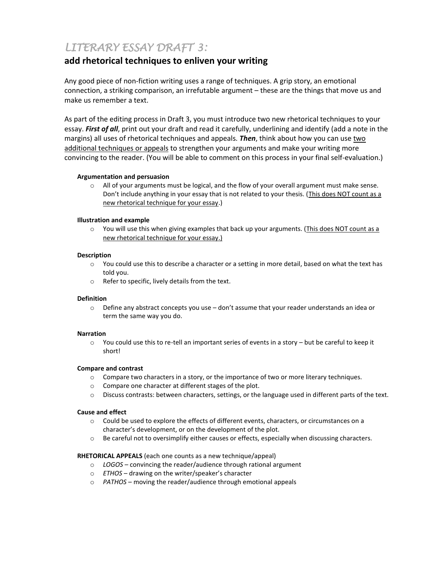# *LITERARY ESSAY DRAFT 3:*

### **add rhetorical techniques to enliven your writing**

Any good piece of non-fiction writing uses a range of techniques. A grip story, an emotional connection, a striking comparison, an irrefutable argument – these are the things that move us and make us remember a text.

As part of the editing process in Draft 3, you must introduce two new rhetorical techniques to your essay. *First of all*, print out your draft and read it carefully, underlining and identify (add a note in the margins) all uses of rhetorical techniques and appeals. *Then*, think about how you can use two additional techniques or appeals to strengthen your arguments and make your writing more convincing to the reader. (You will be able to comment on this process in your final self-evaluation.)

#### **Argumentation and persuasion**

o All of your arguments must be logical, and the flow of your overall argument must make sense. Don't include anything in your essay that is not related to your thesis. (This does NOT count as a new rhetorical technique for your essay.)

#### **Illustration and example**

 $\circ$  You will use this when giving examples that back up your arguments. (This does NOT count as a new rhetorical technique for your essay.)

#### **Description**

- o You could use this to describe a character or a setting in more detail, based on what the text has told you.
- o Refer to specific, lively details from the text.

#### **Definition**

o Define any abstract concepts you use – don't assume that your reader understands an idea or term the same way you do.

#### **Narration**

o You could use this to re-tell an important series of events in a story – but be careful to keep it short!

#### **Compare and contrast**

- o Compare two characters in a story, or the importance of two or more literary techniques.
- o Compare one character at different stages of the plot.
- o Discuss contrasts: between characters, settings, or the language used in different parts of the text.

#### **Cause and effect**

- o Could be used to explore the effects of different events, characters, or circumstances on a character's development, or on the development of the plot.
- o Be careful not to oversimplify either causes or effects, especially when discussing characters.

#### **RHETORICAL APPEALS** (each one counts as a new technique/appeal)

- o *LOGOS* convincing the reader/audience through rational argument
- o *ETHOS* drawing on the writer/speaker's character
- o *PATHOS* moving the reader/audience through emotional appeals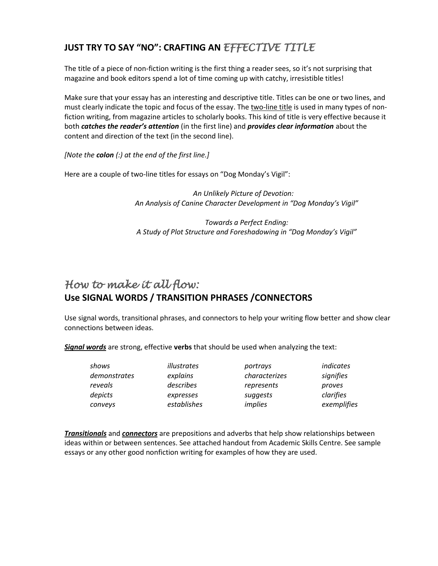# **JUST TRY TO SAY "NO": CRAFTING AN** *EFFECTIVE TITLE*

The title of a piece of non-fiction writing is the first thing a reader sees, so it's not surprising that magazine and book editors spend a lot of time coming up with catchy, irresistible titles!

Make sure that your essay has an interesting and descriptive title. Titles can be one or two lines, and must clearly indicate the topic and focus of the essay. The two-line title is used in many types of nonfiction writing, from magazine articles to scholarly books. This kind of title is very effective because it both *catches the reader's attention* (in the first line) and *provides clear information* about the content and direction of the text (in the second line).

*[Note the colon (:) at the end of the first line.]*

Here are a couple of two-line titles for essays on "Dog Monday's Vigil":

 *An Unlikely Picture of Devotion: An Analysis of Canine Character Development in "Dog Monday's Vigil"*

*Towards a Perfect Ending: A Study of Plot Structure and Foreshadowing in "Dog Monday's Vigil"*

# *How to make it all flow:*  **Use SIGNAL WORDS / TRANSITION PHRASES /CONNECTORS**

Use signal words, transitional phrases, and connectors to help your writing flow better and show clear connections between ideas.

*Signal words* are strong, effective **verbs** that should be used when analyzing the text:

| shows        | illustrates | portrays      | indicates   |
|--------------|-------------|---------------|-------------|
| demonstrates | explains    | characterizes | signifies   |
| reveals      | describes   | represents    | proves      |
| depicts      | expresses   | suggests      | clarifies   |
| conveys      | establishes | implies       | exemplifies |

*Transitionals* and *connectors* are prepositions and adverbs that help show relationships between ideas within or between sentences. See attached handout from Academic Skills Centre. See sample essays or any other good nonfiction writing for examples of how they are used.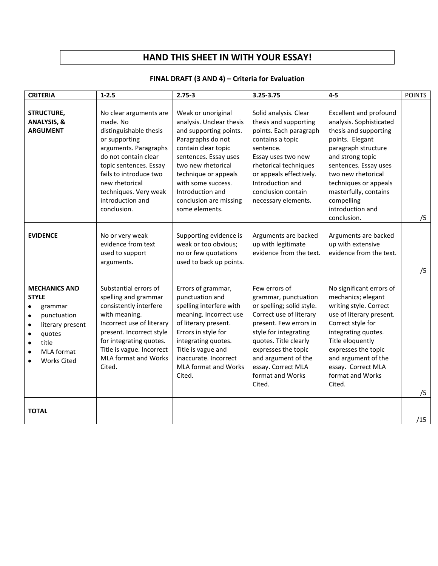## **HAND THIS SHEET IN WITH YOUR ESSAY!**

### **FINAL DRAFT (3 AND 4) – Criteria for Evaluation**

| <b>CRITERIA</b>                                                                                                                                                                                                                             | $1 - 2.5$                                                                                                                                                                                                                                                        | $2.75 - 3$                                                                                                                                                                                                                                                                        | 3.25-3.75                                                                                                                                                                                                                                                                   | $4-5$                                                                                                                                                                                                                                                                                             | <b>POINTS</b> |
|---------------------------------------------------------------------------------------------------------------------------------------------------------------------------------------------------------------------------------------------|------------------------------------------------------------------------------------------------------------------------------------------------------------------------------------------------------------------------------------------------------------------|-----------------------------------------------------------------------------------------------------------------------------------------------------------------------------------------------------------------------------------------------------------------------------------|-----------------------------------------------------------------------------------------------------------------------------------------------------------------------------------------------------------------------------------------------------------------------------|---------------------------------------------------------------------------------------------------------------------------------------------------------------------------------------------------------------------------------------------------------------------------------------------------|---------------|
| STRUCTURE,<br><b>ANALYSIS, &amp;</b><br><b>ARGUMENT</b>                                                                                                                                                                                     | No clear arguments are<br>made. No<br>distinguishable thesis<br>or supporting<br>arguments. Paragraphs<br>do not contain clear<br>topic sentences. Essay<br>fails to introduce two<br>new rhetorical<br>techniques. Very weak<br>introduction and<br>conclusion. | Weak or unoriginal<br>analysis. Unclear thesis<br>and supporting points.<br>Paragraphs do not<br>contain clear topic<br>sentences. Essay uses<br>two new rhetorical<br>technique or appeals<br>with some success.<br>Introduction and<br>conclusion are missing<br>some elements. | Solid analysis. Clear<br>thesis and supporting<br>points. Each paragraph<br>contains a topic<br>sentence.<br>Essay uses two new<br>rhetorical techniques<br>or appeals effectively.<br>Introduction and<br>conclusion contain<br>necessary elements.                        | <b>Excellent and profound</b><br>analysis. Sophisticated<br>thesis and supporting<br>points. Elegant<br>paragraph structure<br>and strong topic<br>sentences. Essay uses<br>two new rhetorical<br>techniques or appeals<br>masterfully, contains<br>compelling<br>introduction and<br>conclusion. | /5            |
| <b>EVIDENCE</b>                                                                                                                                                                                                                             | No or very weak<br>evidence from text<br>used to support<br>arguments.                                                                                                                                                                                           | Supporting evidence is<br>weak or too obvious;<br>no or few quotations<br>used to back up points.                                                                                                                                                                                 | Arguments are backed<br>up with legitimate<br>evidence from the text.                                                                                                                                                                                                       | Arguments are backed<br>up with extensive<br>evidence from the text.                                                                                                                                                                                                                              | /5            |
| <b>MECHANICS AND</b><br><b>STYLE</b><br>grammar<br>$\bullet$<br>punctuation<br>$\bullet$<br>literary present<br>$\bullet$<br>quotes<br>$\bullet$<br>title<br>$\bullet$<br><b>MLA</b> format<br>$\bullet$<br><b>Works Cited</b><br>$\bullet$ | Substantial errors of<br>spelling and grammar<br>consistently interfere<br>with meaning.<br>Incorrect use of literary<br>present. Incorrect style<br>for integrating quotes.<br>Title is vague. Incorrect<br><b>MLA format and Works</b><br>Cited.               | Errors of grammar,<br>punctuation and<br>spelling interfere with<br>meaning. Incorrect use<br>of literary present.<br>Errors in style for<br>integrating quotes.<br>Title is vague and<br>inaccurate. Incorrect<br><b>MLA format and Works</b><br>Cited.                          | Few errors of<br>grammar, punctuation<br>or spelling; solid style.<br>Correct use of literary<br>present. Few errors in<br>style for integrating<br>quotes. Title clearly<br>expresses the topic<br>and argument of the<br>essay. Correct MLA<br>format and Works<br>Cited. | No significant errors of<br>mechanics; elegant<br>writing style. Correct<br>use of literary present.<br>Correct style for<br>integrating quotes.<br>Title eloquently<br>expresses the topic<br>and argument of the<br>essay. Correct MLA<br>format and Works<br>Cited.                            | /5            |
| <b>TOTAL</b>                                                                                                                                                                                                                                |                                                                                                                                                                                                                                                                  |                                                                                                                                                                                                                                                                                   |                                                                                                                                                                                                                                                                             |                                                                                                                                                                                                                                                                                                   | /15           |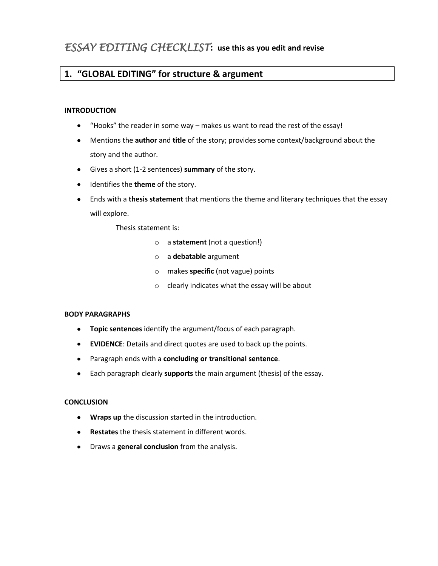# **1. "GLOBAL EDITING" for structure & argument**

#### **INTRODUCTION**

- "Hooks" the reader in some way makes us want to read the rest of the essay!  $\bullet$
- Mentions the **author** and **title** of the story; provides some context/background about the story and the author.
- Gives a short (1-2 sentences) **summary** of the story.
- **•** Identifies the **theme** of the story.
- Ends with a **thesis statement** that mentions the theme and literary techniques that the essay will explore.

Thesis statement is:

- o a **statement** (not a question!)
- o a **debatable** argument
- o makes **specific** (not vague) points
- o clearly indicates what the essay will be about

#### **BODY PARAGRAPHS**

- **Topic sentences** identify the argument/focus of each paragraph.
- **EVIDENCE**: Details and direct quotes are used to back up the points.
- Paragraph ends with a **concluding or transitional sentence**.
- Each paragraph clearly **supports** the main argument (thesis) of the essay.  $\bullet$

#### **CONCLUSION**

- **Wraps up** the discussion started in the introduction.
- **Restates** the thesis statement in different words.  $\bullet$
- $\bullet$ Draws a **general conclusion** from the analysis.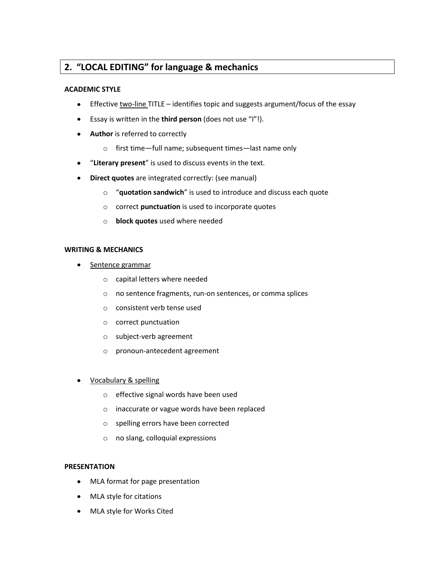### **2. "LOCAL EDITING" for language & mechanics**

#### **ACADEMIC STYLE**

- Effective two-line TITLE identifies topic and suggests argument/focus of the essay  $\bullet$
- Essay is written in the **third person** (does not use "I"!).  $\bullet$
- **Author** is referred to correctly  $\bullet$ 
	- o first time—full name; subsequent times—last name only
- "**Literary present**" is used to discuss events in the text.  $\bullet$
- **Direct quotes** are integrated correctly: (see manual)  $\bullet$ 
	- o "**quotation sandwich**" is used to introduce and discuss each quote
	- o correct **punctuation** is used to incorporate quotes
	- o **block quotes** used where needed

#### **WRITING & MECHANICS**

- Sentence grammar  $\bullet$ 
	- o capital letters where needed
	- o no sentence fragments, run-on sentences, or comma splices
	- o consistent verb tense used
	- o correct punctuation
	- o subject-verb agreement
	- o pronoun-antecedent agreement
- Vocabulary & spelling
	- o effective signal words have been used
	- o inaccurate or vague words have been replaced
	- o spelling errors have been corrected
	- o no slang, colloquial expressions

#### **PRESENTATION**

- MLA format for page presentation  $\bullet$
- MLA style for citations
- MLA style for Works Cited $\bullet$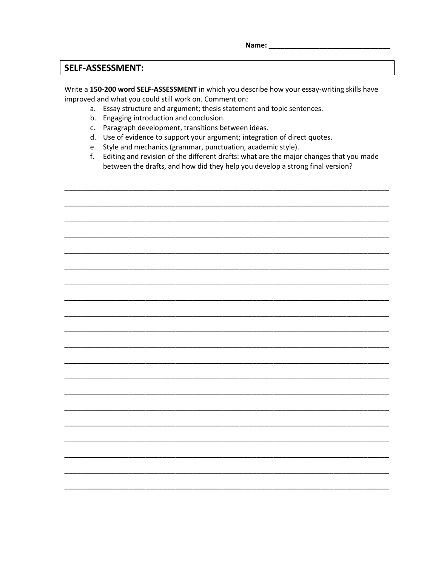Name: Name

### **SELF-ASSESSMENT:**

Write a 150-200 word SELF-ASSESSMENT in which you describe how your essay-writing skills have improved and what you could still work on. Comment on:

- a. Essay structure and argument; thesis statement and topic sentences.
- b. Engaging introduction and conclusion.
- c. Paragraph development, transitions between ideas.
- d. Use of evidence to support your argument; integration of direct quotes.
- e. Style and mechanics (grammar, punctuation, academic style).
- f. Editing and revision of the different drafts: what are the major changes that you made between the drafts, and how did they help you develop a strong final version?